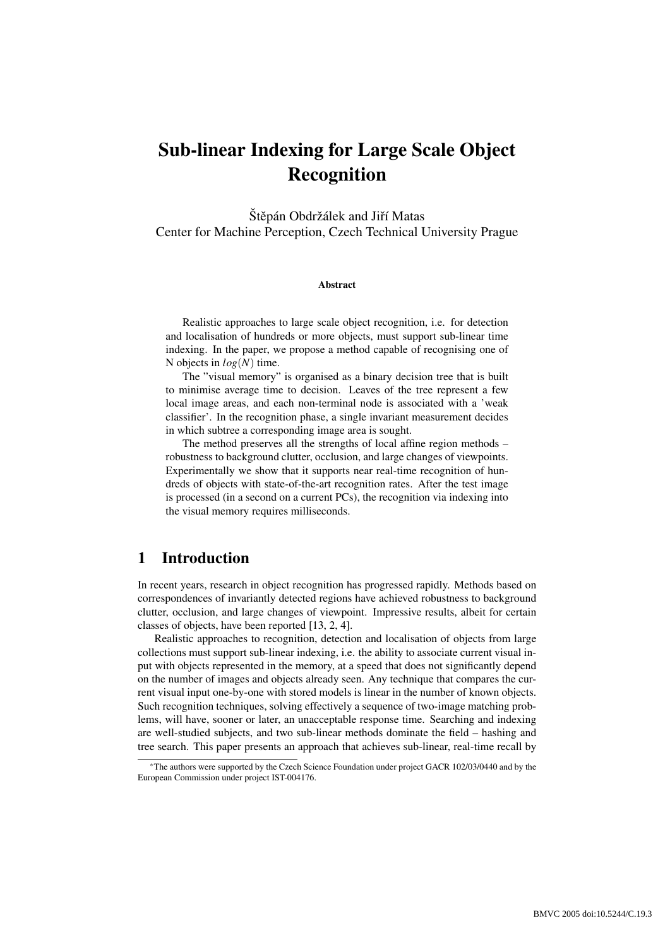# Sub-linear Indexing for Large Scale Object Recognition

Štěpán Obdržálek and Jiří Matas Center for Machine Perception, Czech Technical University Prague

#### Abstract

Realistic approaches to large scale object recognition, i.e. for detection and localisation of hundreds or more objects, must support sub-linear time indexing. In the paper, we propose a method capable of recognising one of N objects in *log*(*N*) time.

The "visual memory" is organised as a binary decision tree that is built to minimise average time to decision. Leaves of the tree represent a few local image areas, and each non-terminal node is associated with a 'weak classifier'. In the recognition phase, a single invariant measurement decides in which subtree a corresponding image area is sought.

The method preserves all the strengths of local affine region methods – robustness to background clutter, occlusion, and large changes of viewpoints. Experimentally we show that it supports near real-time recognition of hundreds of objects with state-of-the-art recognition rates. After the test image is processed (in a second on a current PCs), the recognition via indexing into the visual memory requires milliseconds.

# 1 Introduction

In recent years, research in object recognition has progressed rapidly. Methods based on correspondences of invariantly detected regions have achieved robustness to background clutter, occlusion, and large changes of viewpoint. Impressive results, albeit for certain classes of objects, have been reported [13, 2, 4].

Realistic approaches to recognition, detection and localisation of objects from large collections must support sub-linear indexing, i.e. the ability to associate current visual input with objects represented in the memory, at a speed that does not significantly depend on the number of images and objects already seen. Any technique that compares the current visual input one-by-one with stored models is linear in the number of known objects. Such recognition techniques, solving effectively a sequence of two-image matching problems, will have, sooner or later, an unacceptable response time. Searching and indexing are well-studied subjects, and two sub-linear methods dominate the field – hashing and tree search. This paper presents an approach that achieves sub-linear, real-time recall by

<sup>∗</sup>The authors were supported by the Czech Science Foundation under project GACR 102/03/0440 and by the European Commission under project IST-004176.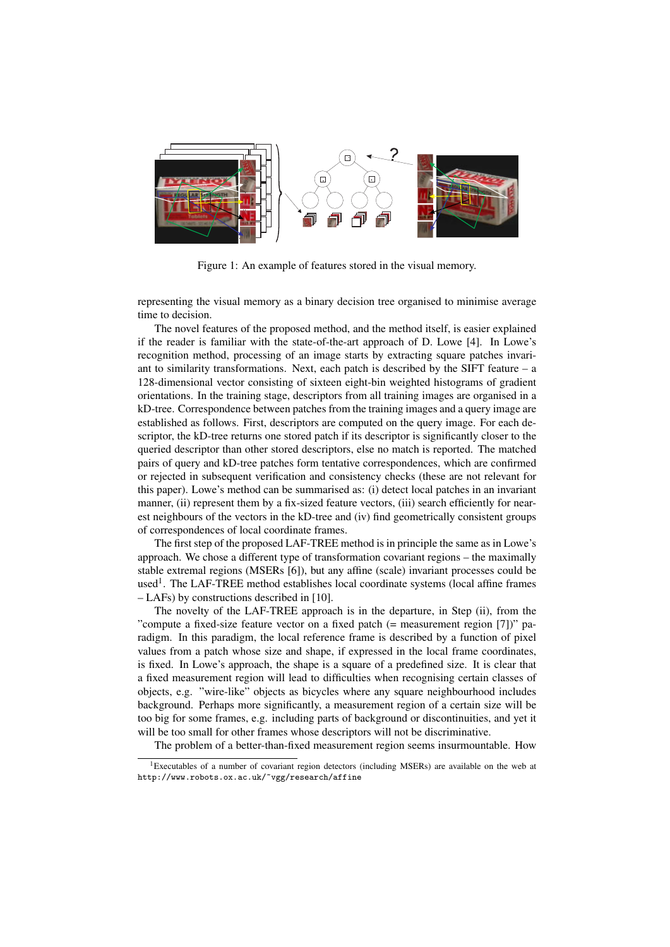

Figure 1: An example of features stored in the visual memory.

representing the visual memory as a binary decision tree organised to minimise average time to decision.

The novel features of the proposed method, and the method itself, is easier explained if the reader is familiar with the state-of-the-art approach of D. Lowe [4]. In Lowe's recognition method, processing of an image starts by extracting square patches invariant to similarity transformations. Next, each patch is described by the SIFT feature – a 128-dimensional vector consisting of sixteen eight-bin weighted histograms of gradient orientations. In the training stage, descriptors from all training images are organised in a kD-tree. Correspondence between patches from the training images and a query image are established as follows. First, descriptors are computed on the query image. For each descriptor, the kD-tree returns one stored patch if its descriptor is significantly closer to the queried descriptor than other stored descriptors, else no match is reported. The matched pairs of query and kD-tree patches form tentative correspondences, which are confirmed or rejected in subsequent verification and consistency checks (these are not relevant for this paper). Lowe's method can be summarised as: (i) detect local patches in an invariant manner, (ii) represent them by a fix-sized feature vectors, (iii) search efficiently for nearest neighbours of the vectors in the kD-tree and (iv) find geometrically consistent groups of correspondences of local coordinate frames.

The first step of the proposed LAF-TREE method is in principle the same as in Lowe's approach. We chose a different type of transformation covariant regions – the maximally stable extremal regions (MSERs [6]), but any affine (scale) invariant processes could be used<sup>1</sup>. The LAF-TREE method establishes local coordinate systems (local affine frames – LAFs) by constructions described in [10].

The novelty of the LAF-TREE approach is in the departure, in Step (ii), from the "compute a fixed-size feature vector on a fixed patch (= measurement region [7])" paradigm. In this paradigm, the local reference frame is described by a function of pixel values from a patch whose size and shape, if expressed in the local frame coordinates, is fixed. In Lowe's approach, the shape is a square of a predefined size. It is clear that a fixed measurement region will lead to difficulties when recognising certain classes of objects, e.g. "wire-like" objects as bicycles where any square neighbourhood includes background. Perhaps more significantly, a measurement region of a certain size will be too big for some frames, e.g. including parts of background or discontinuities, and yet it will be too small for other frames whose descriptors will not be discriminative.

The problem of a better-than-fixed measurement region seems insurmountable. How

<sup>&</sup>lt;sup>1</sup>Executables of a number of covariant region detectors (including MSERs) are available on the web at http://www.robots.ox.ac.uk/~vgg/research/affine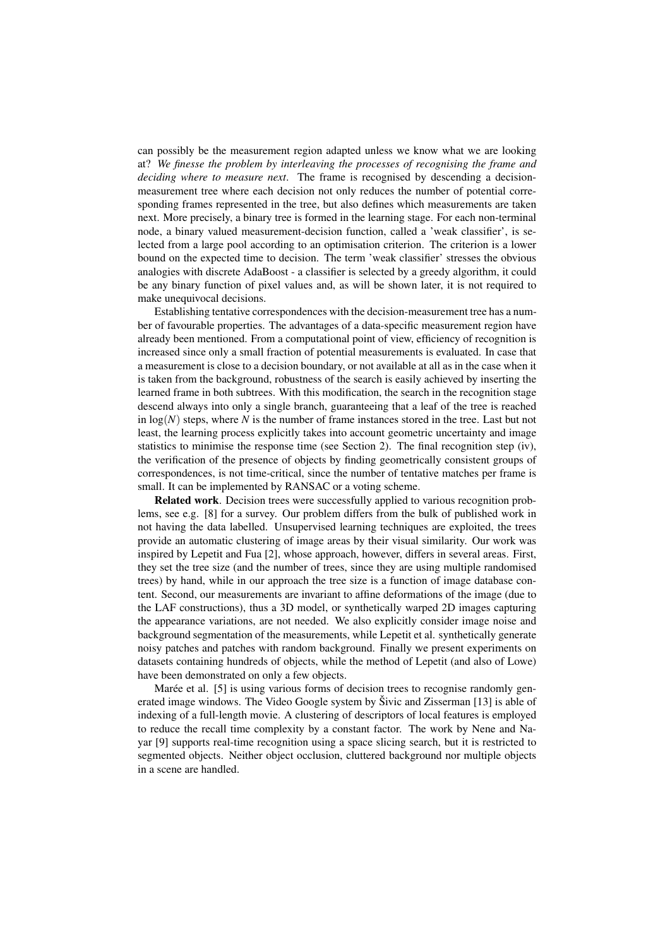can possibly be the measurement region adapted unless we know what we are looking at? *We finesse the problem by interleaving the processes of recognising the frame and deciding where to measure next*. The frame is recognised by descending a decisionmeasurement tree where each decision not only reduces the number of potential corresponding frames represented in the tree, but also defines which measurements are taken next. More precisely, a binary tree is formed in the learning stage. For each non-terminal node, a binary valued measurement-decision function, called a 'weak classifier', is selected from a large pool according to an optimisation criterion. The criterion is a lower bound on the expected time to decision. The term 'weak classifier' stresses the obvious analogies with discrete AdaBoost - a classifier is selected by a greedy algorithm, it could be any binary function of pixel values and, as will be shown later, it is not required to make unequivocal decisions.

Establishing tentative correspondences with the decision-measurement tree has a number of favourable properties. The advantages of a data-specific measurement region have already been mentioned. From a computational point of view, efficiency of recognition is increased since only a small fraction of potential measurements is evaluated. In case that a measurement is close to a decision boundary, or not available at all as in the case when it is taken from the background, robustness of the search is easily achieved by inserting the learned frame in both subtrees. With this modification, the search in the recognition stage descend always into only a single branch, guaranteeing that a leaf of the tree is reached in  $log(N)$  steps, where N is the number of frame instances stored in the tree. Last but not least, the learning process explicitly takes into account geometric uncertainty and image statistics to minimise the response time (see Section 2). The final recognition step (iv), the verification of the presence of objects by finding geometrically consistent groups of correspondences, is not time-critical, since the number of tentative matches per frame is small. It can be implemented by RANSAC or a voting scheme.

Related work. Decision trees were successfully applied to various recognition problems, see e.g. [8] for a survey. Our problem differs from the bulk of published work in not having the data labelled. Unsupervised learning techniques are exploited, the trees provide an automatic clustering of image areas by their visual similarity. Our work was inspired by Lepetit and Fua [2], whose approach, however, differs in several areas. First, they set the tree size (and the number of trees, since they are using multiple randomised trees) by hand, while in our approach the tree size is a function of image database content. Second, our measurements are invariant to affine deformations of the image (due to the LAF constructions), thus a 3D model, or synthetically warped 2D images capturing the appearance variations, are not needed. We also explicitly consider image noise and background segmentation of the measurements, while Lepetit et al. synthetically generate noisy patches and patches with random background. Finally we present experiments on datasets containing hundreds of objects, while the method of Lepetit (and also of Lowe) have been demonstrated on only a few objects.

Marée et al.  $[5]$  is using various forms of decision trees to recognise randomly generated image windows. The Video Google system by Sivic and Zisserman [13] is able of indexing of a full-length movie. A clustering of descriptors of local features is employed to reduce the recall time complexity by a constant factor. The work by Nene and Nayar [9] supports real-time recognition using a space slicing search, but it is restricted to segmented objects. Neither object occlusion, cluttered background nor multiple objects in a scene are handled.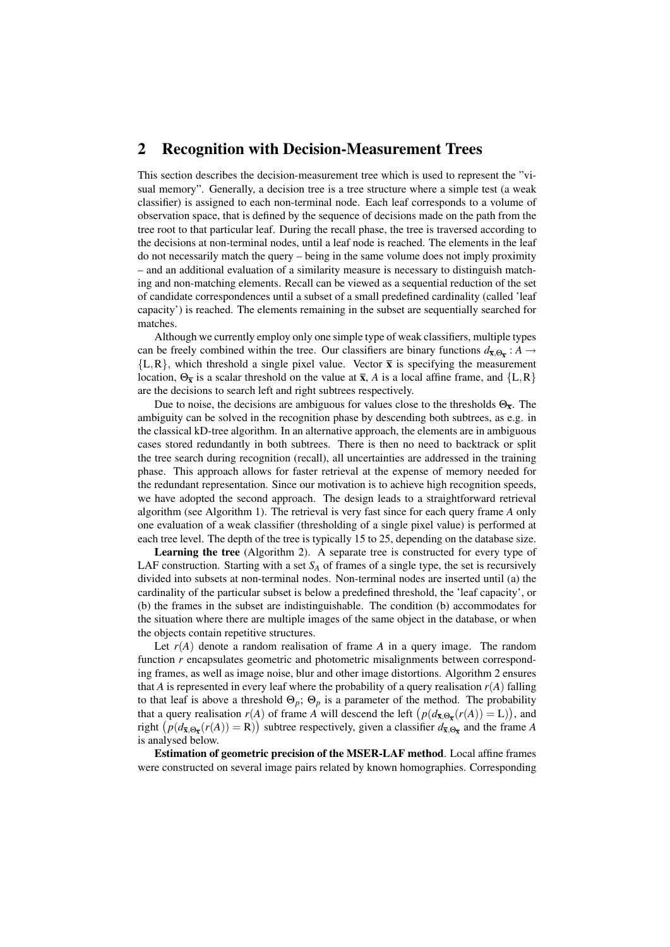#### 2 Recognition with Decision-Measurement Trees

This section describes the decision-measurement tree which is used to represent the "visual memory". Generally, a decision tree is a tree structure where a simple test (a weak classifier) is assigned to each non-terminal node. Each leaf corresponds to a volume of observation space, that is defined by the sequence of decisions made on the path from the tree root to that particular leaf. During the recall phase, the tree is traversed according to the decisions at non-terminal nodes, until a leaf node is reached. The elements in the leaf do not necessarily match the query – being in the same volume does not imply proximity – and an additional evaluation of a similarity measure is necessary to distinguish matching and non-matching elements. Recall can be viewed as a sequential reduction of the set of candidate correspondences until a subset of a small predefined cardinality (called 'leaf capacity') is reached. The elements remaining in the subset are sequentially searched for matches.

Although we currently employ only one simple type of weak classifiers, multiple types can be freely combined within the tree. Our classifiers are binary functions  $d_{\overline{x},\Theta_{\overline{x}}}$ : *A*  $\rightarrow$  ${L,R}$ , which threshold a single pixel value. Vector  $\bar{x}$  is specifying the measurement location,  $\Theta_{\overline{x}}$  is a scalar threshold on the value at  $\overline{x}$ , *A* is a local affine frame, and  $\{L, R\}$ are the decisions to search left and right subtrees respectively.

Due to noise, the decisions are ambiguous for values close to the thresholds  $\Theta_{\overline{x}}$ . The ambiguity can be solved in the recognition phase by descending both subtrees, as e.g. in the classical kD-tree algorithm. In an alternative approach, the elements are in ambiguous cases stored redundantly in both subtrees. There is then no need to backtrack or split the tree search during recognition (recall), all uncertainties are addressed in the training phase. This approach allows for faster retrieval at the expense of memory needed for the redundant representation. Since our motivation is to achieve high recognition speeds, we have adopted the second approach. The design leads to a straightforward retrieval algorithm (see Algorithm 1). The retrieval is very fast since for each query frame *A* only one evaluation of a weak classifier (thresholding of a single pixel value) is performed at each tree level. The depth of the tree is typically 15 to 25, depending on the database size.

Learning the tree (Algorithm 2). A separate tree is constructed for every type of LAF construction. Starting with a set  $S_A$  of frames of a single type, the set is recursively divided into subsets at non-terminal nodes. Non-terminal nodes are inserted until (a) the cardinality of the particular subset is below a predefined threshold, the 'leaf capacity', or (b) the frames in the subset are indistinguishable. The condition (b) accommodates for the situation where there are multiple images of the same object in the database, or when the objects contain repetitive structures.

Let  $r(A)$  denote a random realisation of frame A in a query image. The random function *r* encapsulates geometric and photometric misalignments between corresponding frames, as well as image noise, blur and other image distortions. Algorithm 2 ensures that *A* is represented in every leaf where the probability of a query realisation  $r(A)$  falling to that leaf is above a threshold  $\Theta_p$ ;  $\Theta_p$  is a parameter of the method. The probability that a query realisation  $r(A)$  of frame *A* will descend the left  $(p(d_{\bar{x},\Theta_{\bar{x}}}(r(A))) = L)$ , and right  $(p(d_{\bar{x},\Theta_{\bar{x}}}(r(A))) = R)$  subtree respectively, given a classifier  $d_{\bar{x},\Theta_{\bar{x}}}$  and the frame *A* is analysed below.

Estimation of geometric precision of the MSER-LAF method. Local affine frames were constructed on several image pairs related by known homographies. Corresponding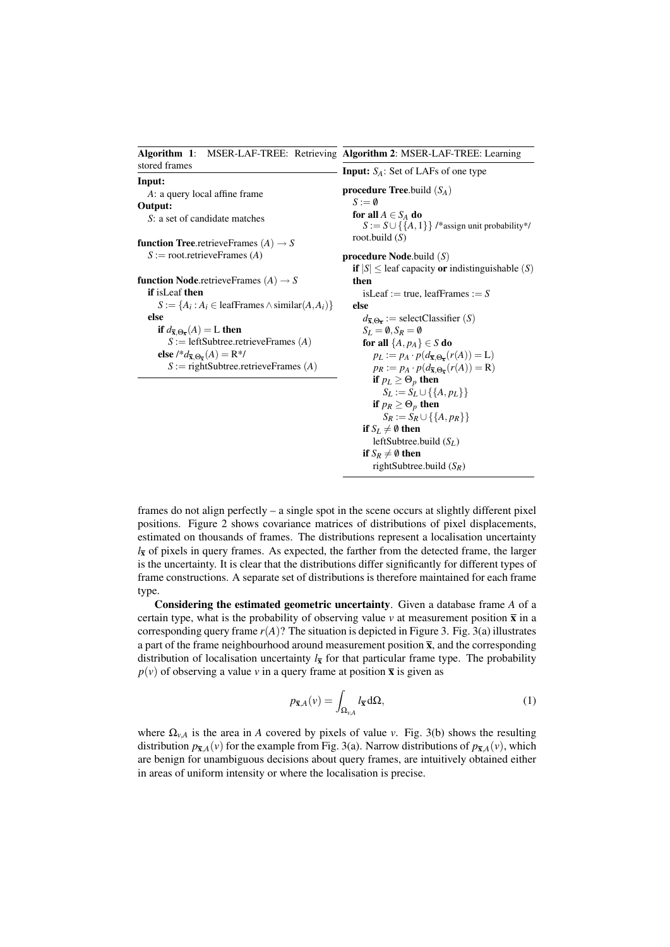| Algorithm 1: MSER-LAF-TREE: Retrieving Algorithm 2: MSER-LAF-TREE: Learning             |                                                                                           |  |  |  |  |
|-----------------------------------------------------------------------------------------|-------------------------------------------------------------------------------------------|--|--|--|--|
| stored frames                                                                           | <b>Input:</b> $S_A$ : Set of LAFs of one type                                             |  |  |  |  |
| Input:<br>A: a query local affine frame                                                 | <b>procedure Tree.</b> build $(S_A)$                                                      |  |  |  |  |
| Output:                                                                                 | $S := \emptyset$                                                                          |  |  |  |  |
| S: a set of candidate matches                                                           | for all $A \in S_A$ do<br>$S := S \cup \{\{A, 1\}\}\$ /*assign unit probability*/         |  |  |  |  |
| <b>function Tree</b> .retrieveFrames $(A) \rightarrow S$                                | root.build $(S)$                                                                          |  |  |  |  |
| $S :=$ root.retrieveFrames (A)                                                          | <b>procedure Node.</b> build $(S)$                                                        |  |  |  |  |
|                                                                                         | if $ S  \leq$ leaf capacity or indistinguishable $(S)$                                    |  |  |  |  |
| <b>function Node</b> .retrieveFrames $(A) \rightarrow S$                                | then                                                                                      |  |  |  |  |
| <b>if</b> is Leaf then                                                                  | is Leaf := true, leaf Frames := $S$                                                       |  |  |  |  |
| $S := \{A_i : A_i \in \text{leafFrames} \land \text{similar}(A, A_i)\}\$                | else                                                                                      |  |  |  |  |
| else                                                                                    | $d_{\overline{\mathbf{x}}, \Theta_{\overline{\mathbf{v}}}} := \text{selectClassifier}(S)$ |  |  |  |  |
| if $d_{\overline{\mathbf{x}}, \Theta_{\overline{\mathbf{x}}}}(A) = L$ then              | $S_L = \emptyset$ , $S_R = \emptyset$                                                     |  |  |  |  |
| $S :=$ leftSubtree.retrieveFrames (A)                                                   | for all $\{A, p_A\} \in S$ do                                                             |  |  |  |  |
| else /* $d_{\overline{\mathbf{x}}, \Theta_{\overline{\mathbf{x}}}}(A) = \mathbf{R}^*$ / | $p_L := p_A \cdot p(d_{\overline{\mathbf{x}}, \Theta_{\overline{\mathbf{x}}}}(r(A)) = L)$ |  |  |  |  |
| $S := \text{rightSubtree.}$ retrieveFrames (A)                                          | $p_R := p_A \cdot p(d_{\overline{\mathbf{x}}, \Theta_{\overline{\mathbf{x}}}}(r(A)) = R)$ |  |  |  |  |
|                                                                                         | if $p_L \geq \Theta_p$ then                                                               |  |  |  |  |
|                                                                                         | $S_L := S_L \cup \{\{A, p_L\}\}\$                                                         |  |  |  |  |
|                                                                                         | if $p_R \geq \Theta_p$ then                                                               |  |  |  |  |
|                                                                                         | $S_R := S_R \cup \{\{A, p_R\}\}\$                                                         |  |  |  |  |
|                                                                                         | if $S_L \neq \emptyset$ then                                                              |  |  |  |  |
|                                                                                         | leftSubtree.build $(S_L)$                                                                 |  |  |  |  |
|                                                                                         | if $S_R \neq \emptyset$ then                                                              |  |  |  |  |
|                                                                                         | rightSubtree.build $(S_R)$                                                                |  |  |  |  |

frames do not align perfectly – a single spot in the scene occurs at slightly different pixel positions. Figure 2 shows covariance matrices of distributions of pixel displacements, estimated on thousands of frames. The distributions represent a localisation uncertainty  $l_{\bar{x}}$  of pixels in query frames. As expected, the farther from the detected frame, the larger is the uncertainty. It is clear that the distributions differ significantly for different types of frame constructions. A separate set of distributions is therefore maintained for each frame type.

Considering the estimated geometric uncertainty. Given a database frame *A* of a certain type, what is the probability of observing value  $\nu$  at measurement position  $\bar{x}$  in a corresponding query frame  $r(A)$ ? The situation is depicted in Figure 3. Fig. 3(a) illustrates a part of the frame neighbourhood around measurement position  $\bar{x}$ , and the corresponding distribution of localisation uncertainty  $l_{\overline{x}}$  for that particular frame type. The probability  $p(v)$  of observing a value *v* in a query frame at position  $\bar{x}$  is given as

$$
p_{\overline{\mathbf{x}},A}(\nu) = \int_{\Omega_{\nu,A}} l_{\overline{\mathbf{x}}} \, \mathrm{d}\Omega,\tag{1}
$$

where  $\Omega_{\nu,A}$  is the area in *A* covered by pixels of value *v*. Fig. 3(b) shows the resulting distribution  $p_{\bar{x},A}(v)$  for the example from Fig. 3(a). Narrow distributions of  $p_{\bar{x},A}(v)$ , which are benign for unambiguous decisions about query frames, are intuitively obtained either in areas of uniform intensity or where the localisation is precise.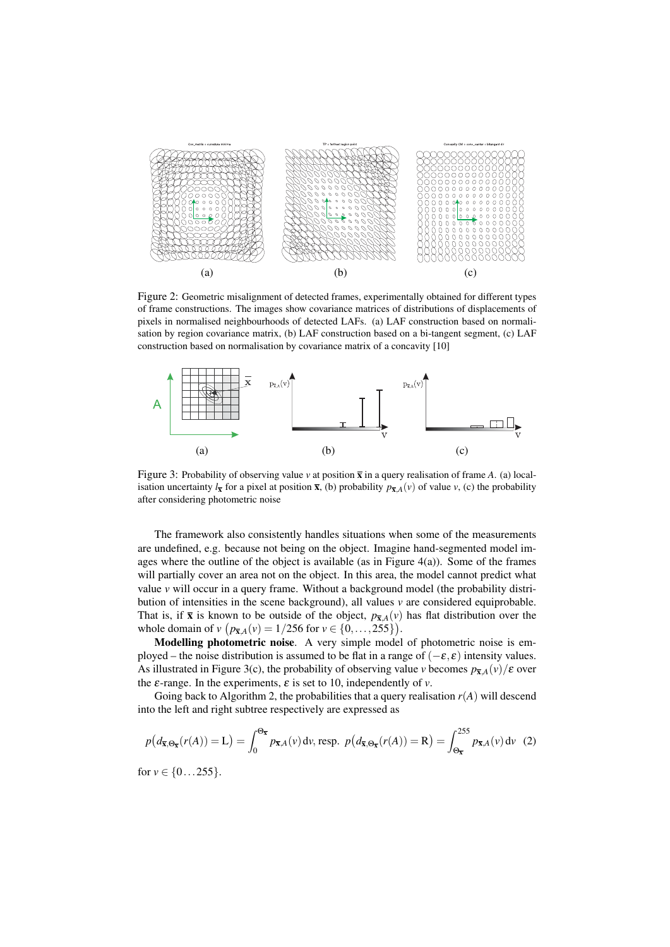

Figure 2: Geometric misalignment of detected frames, experimentally obtained for different types of frame constructions. The images show covariance matrices of distributions of displacements of pixels in normalised neighbourhoods of detected LAFs. (a) LAF construction based on normalisation by region covariance matrix, (b) LAF construction based on a bi-tangent segment, (c) LAF construction based on normalisation by covariance matrix of a concavity [10]



Figure 3: Probability of observing value  $\nu$  at position  $\bar{x}$  in a query realisation of frame *A*. (a) localisation uncertainty  $l_{\bar{x}}$  for a pixel at position  $\bar{x}$ , (b) probability  $p_{\bar{x},A}(v)$  of value  $v$ , (c) the probability after considering photometric noise

The framework also consistently handles situations when some of the measurements are undefined, e.g. because not being on the object. Imagine hand-segmented model images where the outline of the object is available (as in Figure  $4(a)$ ). Some of the frames will partially cover an area not on the object. In this area, the model cannot predict what value *v* will occur in a query frame. Without a background model (the probability distribution of intensities in the scene background), all values *v* are considered equiprobable. That is, if  $\bar{x}$  is known to be outside of the object,  $p_{\bar{x},A}(v)$  has flat distribution over the whole domain of *v*  $(p_{\bar{x},A}(v)) = 1/256$  for  $v \in \{0, ..., 255\}$ .

Modelling photometric noise. A very simple model of photometric noise is employed – the noise distribution is assumed to be flat in a range of  $(-\varepsilon, \varepsilon)$  intensity values. As illustrated in Figure 3(c), the probability of observing value *v* becomes  $p_{\bar{x},A}(v)/\varepsilon$  over the  $\varepsilon$ -range. In the experiments,  $\varepsilon$  is set to 10, independently of  $v$ .

Going back to Algorithm 2, the probabilities that a query realisation  $r(A)$  will descend into the left and right subtree respectively are expressed as

$$
p\big(d_{\overline{\mathbf{x}},\Theta_{\overline{\mathbf{x}}}}(r(A)) = \mathbf{L}\big) = \int_0^{\Theta_{\overline{\mathbf{x}}}} p_{\overline{\mathbf{x}},A}(v) dv, \text{ resp. } p\big(d_{\overline{\mathbf{x}},\Theta_{\overline{\mathbf{x}}}}(r(A)) = \mathbf{R}\big) = \int_{\Theta_{\overline{\mathbf{x}}}}^{255} p_{\overline{\mathbf{x}},A}(v) dv \tag{2}
$$

for  $v \in \{0...255\}.$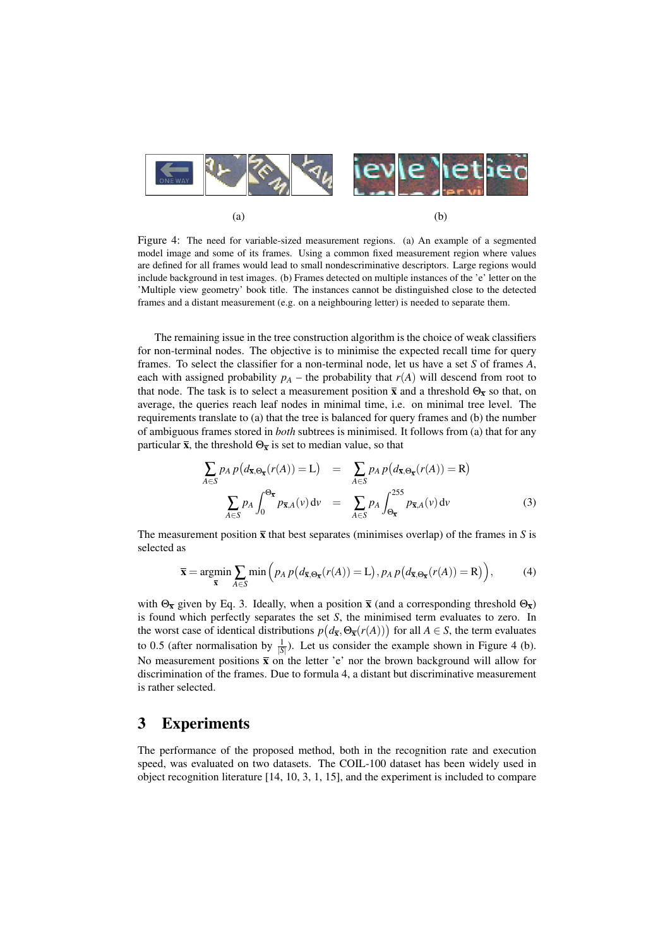

Figure 4: The need for variable-sized measurement regions. (a) An example of a segmented model image and some of its frames. Using a common fixed measurement region where values are defined for all frames would lead to small nondescriminative descriptors. Large regions would include background in test images. (b) Frames detected on multiple instances of the 'e' letter on the 'Multiple view geometry' book title. The instances cannot be distinguished close to the detected frames and a distant measurement (e.g. on a neighbouring letter) is needed to separate them.

The remaining issue in the tree construction algorithm is the choice of weak classifiers for non-terminal nodes. The objective is to minimise the expected recall time for query frames. To select the classifier for a non-terminal node, let us have a set *S* of frames *A*, each with assigned probability  $p_A$  – the probability that  $r(A)$  will descend from root to that node. The task is to select a measurement position  $\bar{x}$  and a threshold  $\Theta_{\bar{x}}$  so that, on average, the queries reach leaf nodes in minimal time, i.e. on minimal tree level. The requirements translate to (a) that the tree is balanced for query frames and (b) the number of ambiguous frames stored in *both* subtrees is minimised. It follows from (a) that for any particular  $\bar{x}$ , the threshold  $\Theta_{\bar{x}}$  is set to median value, so that

$$
\sum_{A \in S} p_A p(d_{\overline{x}, \Theta_{\overline{x}}}(r(A)) = L) = \sum_{A \in S} p_A p(d_{\overline{x}, \Theta_{\overline{x}}}(r(A)) = R)
$$

$$
\sum_{A \in S} p_A \int_0^{\Theta_{\overline{x}}} p_{\overline{x}, A}(v) dv = \sum_{A \in S} p_A \int_{\Theta_{\overline{x}}}^{255} p_{\overline{x}, A}(v) dv
$$
(3)

The measurement position  $\bar{x}$  that best separates (minimises overlap) of the frames in *S* is selected as

$$
\overline{\mathbf{x}} = \underset{\overline{\mathbf{x}}}{\text{argmin}} \sum_{A \in S} \min \left( p_A \, p \big( d_{\overline{\mathbf{x}}, \Theta_{\overline{\mathbf{x}}}}(r(A)) = \mathbf{L} \big), p_A \, p \big( d_{\overline{\mathbf{x}}, \Theta_{\overline{\mathbf{x}}}}(r(A)) = \mathbf{R} \big) \right),\tag{4}
$$

with  $\Theta_{\overline{x}}$  given by Eq. 3. Ideally, when a position  $\overline{x}$  (and a corresponding threshold  $\Theta_{\overline{x}}$ ) is found which perfectly separates the set *S*, the minimised term evaluates to zero. In the worst case of identical distributions  $p(d_{\overline{x}}, \Theta_{\overline{x}}(r(A)))$  for all  $A \in S$ , the term evaluates to 0.5 (after normalisation by  $\frac{1}{|S|}$ ). Let us consider the example shown in Figure 4 (b). No measurement positions  $\bar{x}$  on the letter 'e' nor the brown background will allow for discrimination of the frames. Due to formula 4, a distant but discriminative measurement is rather selected.

### 3 Experiments

The performance of the proposed method, both in the recognition rate and execution speed, was evaluated on two datasets. The COIL-100 dataset has been widely used in object recognition literature [14, 10, 3, 1, 15], and the experiment is included to compare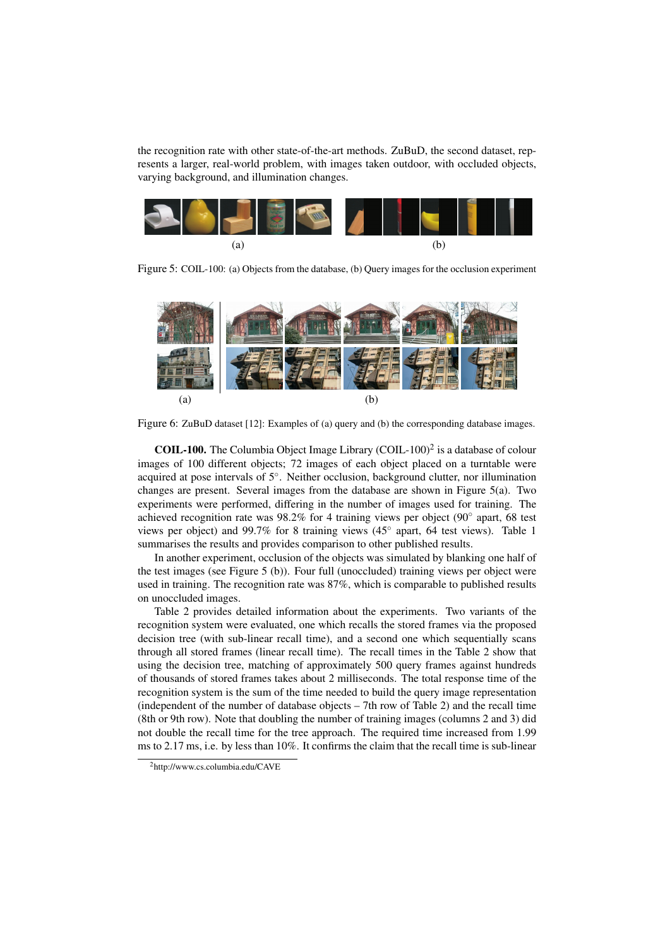the recognition rate with other state-of-the-art methods. ZuBuD, the second dataset, represents a larger, real-world problem, with images taken outdoor, with occluded objects, varying background, and illumination changes.



Figure 5: COIL-100: (a) Objects from the database, (b) Query images for the occlusion experiment



Figure 6: ZuBuD dataset [12]: Examples of (a) query and (b) the corresponding database images.

**COIL-100.** The Columbia Object Image Library (COIL-100)<sup>2</sup> is a database of colour images of 100 different objects; 72 images of each object placed on a turntable were acquired at pose intervals of 5◦ . Neither occlusion, background clutter, nor illumination changes are present. Several images from the database are shown in Figure 5(a). Two experiments were performed, differing in the number of images used for training. The achieved recognition rate was 98.2% for 4 training views per object (90° apart, 68 test views per object) and 99.7% for 8 training views (45° apart, 64 test views). Table 1 summarises the results and provides comparison to other published results.

In another experiment, occlusion of the objects was simulated by blanking one half of the test images (see Figure 5 (b)). Four full (unoccluded) training views per object were used in training. The recognition rate was 87%, which is comparable to published results on unoccluded images.

Table 2 provides detailed information about the experiments. Two variants of the recognition system were evaluated, one which recalls the stored frames via the proposed decision tree (with sub-linear recall time), and a second one which sequentially scans through all stored frames (linear recall time). The recall times in the Table 2 show that using the decision tree, matching of approximately 500 query frames against hundreds of thousands of stored frames takes about 2 milliseconds. The total response time of the recognition system is the sum of the time needed to build the query image representation (independent of the number of database objects – 7th row of Table 2) and the recall time (8th or 9th row). Note that doubling the number of training images (columns 2 and 3) did not double the recall time for the tree approach. The required time increased from 1.99 ms to 2.17 ms, i.e. by less than 10%. It confirms the claim that the recall time is sub-linear

<sup>2</sup>http://www.cs.columbia.edu/CAVE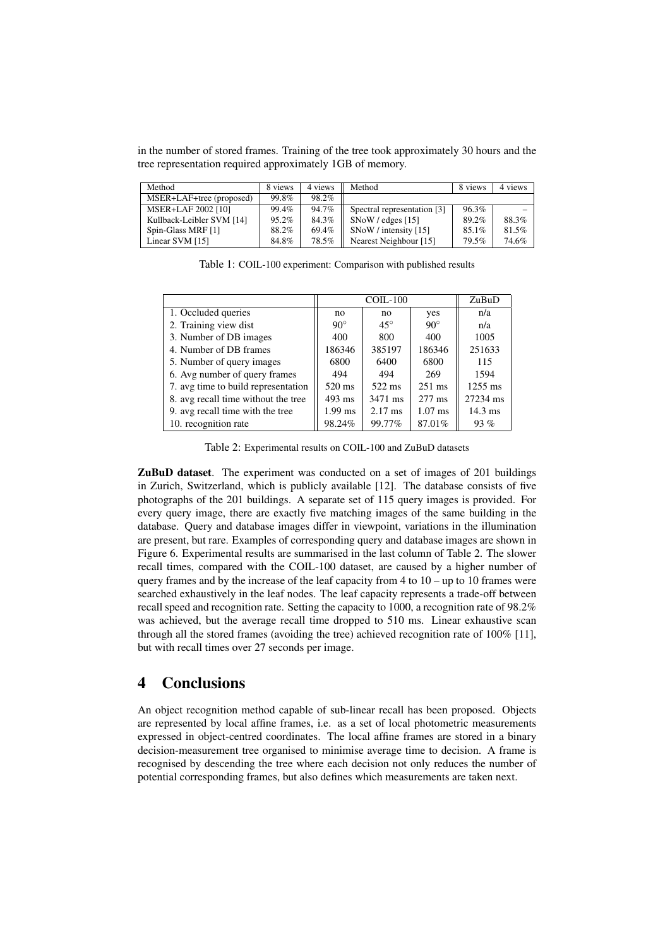in the number of stored frames. Training of the tree took approximately 30 hours and the tree representation required approximately 1GB of memory.

| Method                    | 8 views | 4 views | Method                      | 8 views | 4 views |
|---------------------------|---------|---------|-----------------------------|---------|---------|
| MSER+LAF+tree (proposed)  | 99.8%   | 98.2%   |                             |         |         |
| MSER+LAF 2002 [10]        | 99.4%   | 94.7%   | Spectral representation [3] | 96.3%   |         |
| Kullback-Leibler SVM [14] | 95.2%   | 84.3%   | $SNoW / edges$ [15]         | 89.2%   | 88.3%   |
| Spin-Glass MRF [1]        | 88.2%   | 69.4%   | SNoW / intensity [15]       | 85.1%   | 81.5%   |
| Linear SVM [15]           | 84.8%   | 78.5%   | Nearest Neighbour [15]      | 79.5%   | 74.6%   |

Table 1: COIL-100 experiment: Comparison with published results

|                                     | $COL-100$  |                   |                  | ZuBuD             |
|-------------------------------------|------------|-------------------|------------------|-------------------|
| 1. Occluded queries                 | no         | no                | yes              | n/a               |
| 2. Training view dist               | $90^\circ$ | $45^{\circ}$      | $90^\circ$       | n/a               |
| 3. Number of DB images              | 400        | 800               | 400              | 1005              |
| 4. Number of DB frames              | 186346     | 385197            | 186346           | 251633            |
| 5. Number of query images           | 6800       | 6400              | 6800             | 115               |
| 6. Avg number of query frames       | 494        | 494               | 269              | 1594              |
| 7. avg time to build representation | 520 ms     | 522 ms            | $251 \text{ ms}$ | $1255$ ms         |
| 8. avg recall time without the tree | $493$ ms   | 3471 ms           | $277 \text{ ms}$ | 27234 ms          |
| 9. avg recall time with the tree    | $1.99$ ms  | $2.17 \text{ ms}$ | $1.07$ ms        | $14.3 \text{ ms}$ |
| 10. recognition rate                | 98.24%     | 99.77%            | 87.01%           | 93%               |

Table 2: Experimental results on COIL-100 and ZuBuD datasets

ZuBuD dataset. The experiment was conducted on a set of images of 201 buildings in Zurich, Switzerland, which is publicly available [12]. The database consists of five photographs of the 201 buildings. A separate set of 115 query images is provided. For every query image, there are exactly five matching images of the same building in the database. Query and database images differ in viewpoint, variations in the illumination are present, but rare. Examples of corresponding query and database images are shown in Figure 6. Experimental results are summarised in the last column of Table 2. The slower recall times, compared with the COIL-100 dataset, are caused by a higher number of query frames and by the increase of the leaf capacity from  $4$  to  $10 -$ up to  $10$  frames were searched exhaustively in the leaf nodes. The leaf capacity represents a trade-off between recall speed and recognition rate. Setting the capacity to 1000, a recognition rate of 98.2% was achieved, but the average recall time dropped to 510 ms. Linear exhaustive scan through all the stored frames (avoiding the tree) achieved recognition rate of 100% [11], but with recall times over 27 seconds per image.

## 4 Conclusions

An object recognition method capable of sub-linear recall has been proposed. Objects are represented by local affine frames, i.e. as a set of local photometric measurements expressed in object-centred coordinates. The local affine frames are stored in a binary decision-measurement tree organised to minimise average time to decision. A frame is recognised by descending the tree where each decision not only reduces the number of potential corresponding frames, but also defines which measurements are taken next.